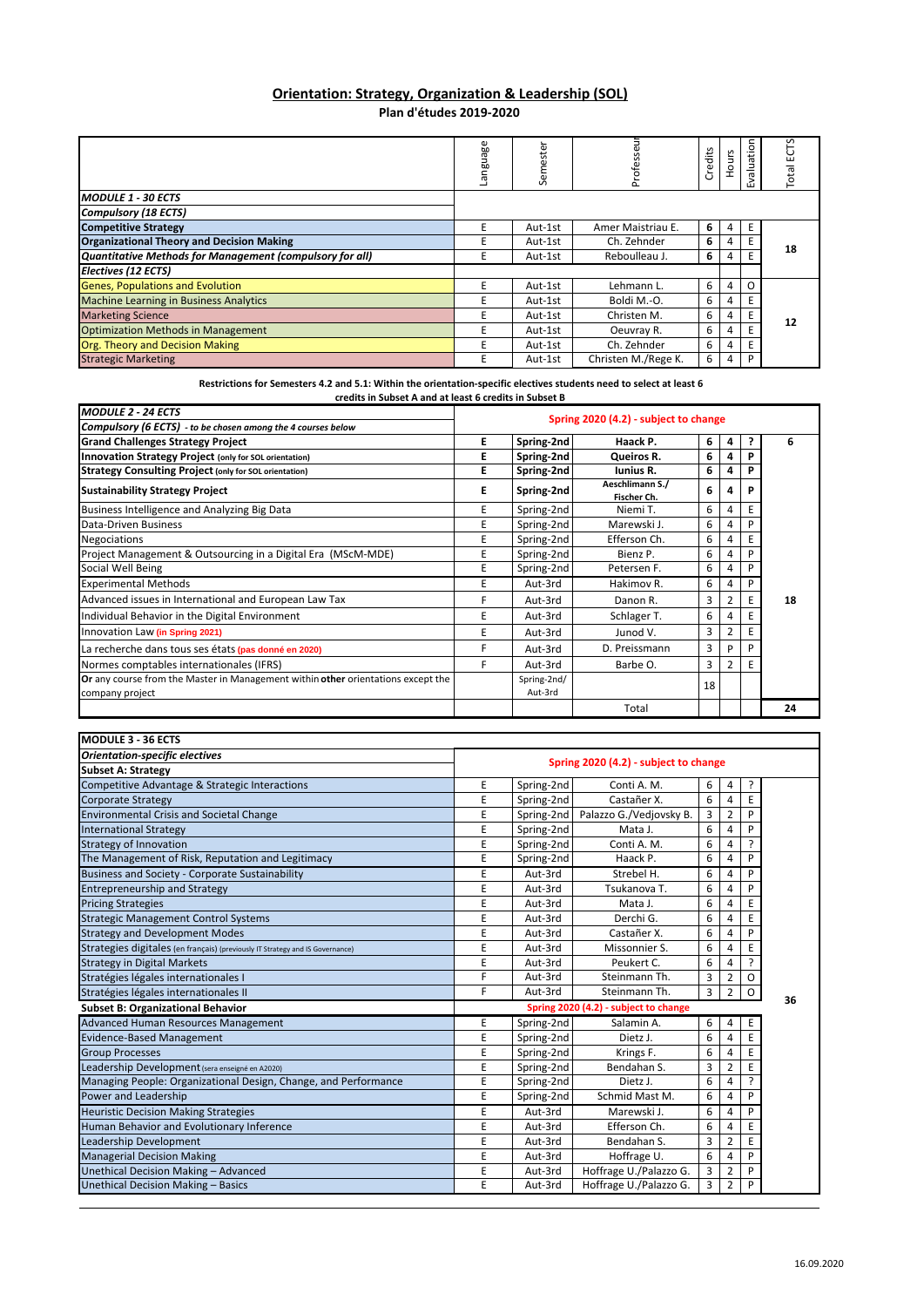## **Orientation: Strategy, Organization & Leadership (SOL) Plan d'études 2019‐2020**

|                                                          | anguage | Semester | Profess             | Credits | ours | Evaluation | S<br>Ë<br>Total |
|----------------------------------------------------------|---------|----------|---------------------|---------|------|------------|-----------------|
| <b>MODULE 1 - 30 ECTS</b>                                |         |          |                     |         |      |            |                 |
| <b>Compulsory (18 ECTS)</b>                              |         |          |                     |         |      |            |                 |
| <b>Competitive Strategy</b>                              |         | Aut-1st  | Amer Maistriau E.   | 6       |      | E          |                 |
| <b>Organizational Theory and Decision Making</b>         |         | Aut-1st  | Ch. Zehnder         | 6       |      | E          | 18              |
| Quantitative Methods for Management (compulsory for all) |         | Aut-1st  | Reboulleau J.       | 6       |      | E          |                 |
| Electives (12 ECTS)                                      |         |          |                     |         |      |            |                 |
| <b>Genes, Populations and Evolution</b>                  |         | Aut-1st  | Lehmann L.          | 6       |      | O          |                 |
| <b>Machine Learning in Business Analytics</b>            |         | Aut-1st  | Boldi M.-O.         | 6       |      | E          | 12              |
| <b>Marketing Science</b>                                 |         | Aut-1st  | Christen M.         | 6       |      |            |                 |
| <b>Optimization Methods in Management</b>                |         | Aut-1st  | Oeuvray R.          | 6       |      | E          |                 |
| Org. Theory and Decision Making                          |         | Aut-1st  | Ch. Zehnder         | 6       | 4    | E          |                 |
| <b>Strategic Marketing</b>                               |         | Aut-1st  | Christen M./Rege K. | 6       |      | P          |                 |

Restrictions for Semesters 4.2 and 5.1: Within the orientation-specific electives students need to select at least 6 **credits in Subset A and at least 6 credits in Subset B**

| <b>MODULE 2 - 24 ECTS</b>                                                                           |                                       |                        |                                |    |                |   |    |
|-----------------------------------------------------------------------------------------------------|---------------------------------------|------------------------|--------------------------------|----|----------------|---|----|
| Compulsory (6 ECTS) - to be chosen among the 4 courses below                                        | Spring 2020 (4.2) - subject to change |                        |                                |    |                |   |    |
| <b>Grand Challenges Strategy Project</b>                                                            | Е                                     | Spring-2nd             | Haack P.                       | 6  | 4              |   | 6  |
| Innovation Strategy Project (only for SOL orientation)                                              | Ε                                     | Spring-2nd             | Queiros R.                     | 6  |                |   |    |
| <b>Strategy Consulting Project (only for SOL orientation)</b>                                       | F                                     | Spring-2nd             | <b>Iunius R.</b>               | 6  |                |   |    |
| <b>Sustainability Strategy Project</b>                                                              | Е                                     | Spring-2nd             | Aeschlimann S./<br>Fischer Ch. | 6  | Δ              | P |    |
| Business Intelligence and Analyzing Big Data                                                        | E                                     | Spring-2nd             | Niemi T.                       | 6  | 4              |   |    |
| Data-Driven Business                                                                                | E                                     | Spring-2nd             | Marewski J.                    | 6  | 4              |   |    |
| <b>Negociations</b>                                                                                 | Е                                     | Spring-2nd             | Efferson Ch.                   | 6  | 4              |   |    |
| Project Management & Outsourcing in a Digital Era (MScM-MDE)                                        |                                       | Spring-2nd             | Bienz P.                       | 6  | 4              |   |    |
| Social Well Being                                                                                   |                                       | Spring-2nd             | Petersen F.                    | 6  | 4              |   |    |
| <b>Experimental Methods</b>                                                                         |                                       | Aut-3rd                | Hakimov R.                     | 6  | 4              | P |    |
| Advanced issues in International and European Law Tax                                               |                                       | Aut-3rd                | Danon R.                       | 3  |                | E | 18 |
| Individual Behavior in the Digital Environment                                                      |                                       | Aut-3rd                | Schlager T.                    | 6  |                | E |    |
| Innovation Law (in Spring 2021)                                                                     |                                       | Aut-3rd                | Junod V.                       | 3  | 2              | E |    |
| La recherche dans tous ses états (pas donné en 2020)                                                | F                                     | Aut-3rd                | D. Preissmann                  | 3  | D              | P |    |
| Normes comptables internationales (IFRS)                                                            | F                                     | Aut-3rd                | Barbe O.                       | 3  | $\overline{2}$ | E |    |
| Or any course from the Master in Management within other orientations except the<br>company project |                                       | Spring-2nd/<br>Aut-3rd |                                | 18 |                |   |    |
|                                                                                                     |                                       |                        | Total                          |    |                |   | 24 |

| <b>MODULE 3 - 36 ECTS</b>                                                     |                                       |                                       |                         |   |                |    |    |
|-------------------------------------------------------------------------------|---------------------------------------|---------------------------------------|-------------------------|---|----------------|----|----|
| <b>Orientation-specific electives</b>                                         | Spring 2020 (4.2) - subject to change |                                       |                         |   |                |    |    |
| <b>Subset A: Strategy</b>                                                     |                                       |                                       |                         |   |                |    |    |
| Competitive Advantage & Strategic Interactions                                | E                                     | Spring-2nd                            | Conti A. M.             | 6 | 4              | ŗ  |    |
| <b>Corporate Strategy</b>                                                     | E                                     | Spring-2nd                            | Castañer X.             | 6 | 4              | E  |    |
| <b>Environmental Crisis and Societal Change</b>                               | E                                     | Spring-2nd                            | Palazzo G./Vedjovsky B. | 3 | $\overline{2}$ | P  |    |
| <b>International Strategy</b>                                                 | E                                     | Spring-2nd                            | Mata J.                 | 6 | 4              |    |    |
| <b>Strategy of Innovation</b>                                                 | E                                     | Spring-2nd                            | Conti A. M.             | 6 | 4              | 2  |    |
| The Management of Risk, Reputation and Legitimacy                             | E                                     | Spring-2nd                            | Haack P.                | 6 | 4              | P  |    |
| <b>Business and Society - Corporate Sustainability</b>                        | E                                     | Aut-3rd                               | Strebel H.              | 6 | 4              | P  |    |
| <b>Entrepreneurship and Strategy</b>                                          | E                                     | Aut-3rd                               | Tsukanova T.            | 6 | 4              | D  |    |
| <b>Pricing Strategies</b>                                                     | E                                     | Aut-3rd                               | Mata J.                 | 6 |                |    |    |
| <b>Strategic Management Control Systems</b>                                   | E                                     | Aut-3rd                               | Derchi G.               | 6 | 4              | E  |    |
| <b>Strategy and Development Modes</b>                                         | E                                     | Aut-3rd                               | Castañer X.             | 6 | 4              | Þ  |    |
| Strategies digitales (en français) (previously IT Strategy and IS Governance) | E                                     | Aut-3rd                               | Missonnier S.           | 6 | 4              | E  |    |
| <b>Strategy in Digital Markets</b>                                            | E                                     | Aut-3rd                               | Peukert C.              | 6 | 4              | J. |    |
| Stratégies légales internationales I                                          | F                                     | Aut-3rd                               | Steinmann Th.           | 3 | 2              | O  |    |
| Stratégies légales internationales II                                         | E                                     | Aut-3rd                               | Steinmann Th.           | 3 | $\overline{2}$ | 0  | 36 |
| <b>Subset B: Organizational Behavior</b>                                      |                                       | Spring 2020 (4.2) - subject to change |                         |   |                |    |    |
| <b>Advanced Human Resources Management</b>                                    | Е                                     | Spring-2nd                            | Salamin A.              | 6 | 4              | E  |    |
| <b>Evidence-Based Management</b>                                              | E                                     | Spring-2nd                            | Dietz J.                | 6 | 4              | E  |    |
| <b>Group Processes</b>                                                        | E                                     | Spring-2nd                            | Krings F.               | 6 | 4              | E  |    |
| Leadership Development (sera enseigné en A2020)                               | E                                     | Spring-2nd                            | Bendahan S.             | 3 | 2              | E  |    |
| Managing People: Organizational Design, Change, and Performance               | E                                     | Spring-2nd                            | Dietz J.                | 6 | 4              | J. |    |
| Power and Leadership                                                          | E                                     | Spring-2nd                            | Schmid Mast M.          | 6 | 4              | P  |    |
| <b>Heuristic Decision Making Strategies</b>                                   | E                                     | Aut-3rd                               | Marewski J.             | 6 | 4              | D  |    |
| Human Behavior and Evolutionary Inference                                     | E                                     | Aut-3rd                               | Efferson Ch.            | 6 | 4              | E  |    |
| Leadership Development                                                        | E                                     | Aut-3rd                               | Bendahan S.             | 3 | 2              | E  |    |
| <b>Managerial Decision Making</b>                                             | E                                     | Aut-3rd                               | Hoffrage U.             | 6 | 4              | P  |    |
| Unethical Decision Making - Advanced                                          | E                                     | Aut-3rd                               | Hoffrage U./Palazzo G.  | 3 | 2              | P  |    |
| Unethical Decision Making - Basics                                            | E                                     | Aut-3rd                               | Hoffrage U./Palazzo G.  | 3 | $\overline{2}$ | P  |    |